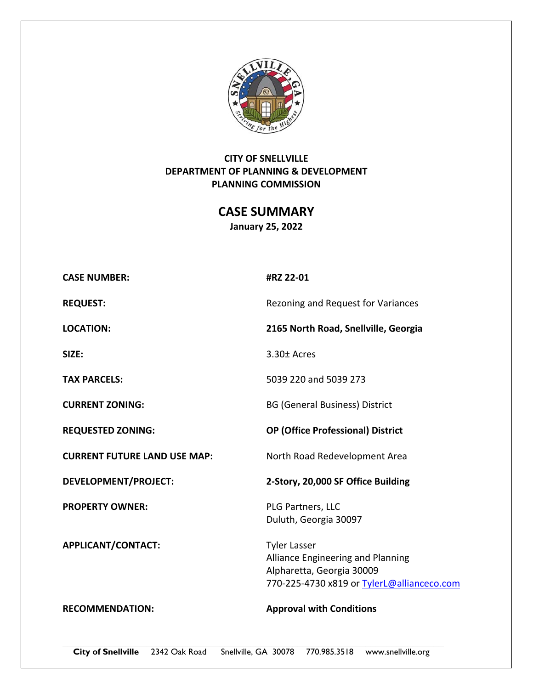

# **CITY OF SNELLVILLE DEPARTMENT OF PLANNING & DEVELOPMENT PLANNING COMMISSION**

**CASE SUMMARY January 25, 2022** 

| <b>CASE NUMBER:</b>                 | #RZ 22-01                                                                                                                           |
|-------------------------------------|-------------------------------------------------------------------------------------------------------------------------------------|
| <b>REQUEST:</b>                     | Rezoning and Request for Variances                                                                                                  |
| <b>LOCATION:</b>                    | 2165 North Road, Snellville, Georgia                                                                                                |
| SIZE:                               | $3.30 \pm$ Acres                                                                                                                    |
| <b>TAX PARCELS:</b>                 | 5039 220 and 5039 273                                                                                                               |
| <b>CURRENT ZONING:</b>              | <b>BG (General Business) District</b>                                                                                               |
| <b>REQUESTED ZONING:</b>            | <b>OP (Office Professional) District</b>                                                                                            |
| <b>CURRENT FUTURE LAND USE MAP:</b> | North Road Redevelopment Area                                                                                                       |
| <b>DEVELOPMENT/PROJECT:</b>         | 2-Story, 20,000 SF Office Building                                                                                                  |
| <b>PROPERTY OWNER:</b>              | PLG Partners, LLC<br>Duluth, Georgia 30097                                                                                          |
| APPLICANT/CONTACT:                  | <b>Tyler Lasser</b><br>Alliance Engineering and Planning<br>Alpharetta, Georgia 30009<br>770-225-4730 x819 or TylerL@allianceco.com |
| <b>RECOMMENDATION:</b>              | <b>Approval with Conditions</b>                                                                                                     |

**City of Snellville** 2342 Oak Road Snellville, GA 30078 770.985.3518 www.snellville.org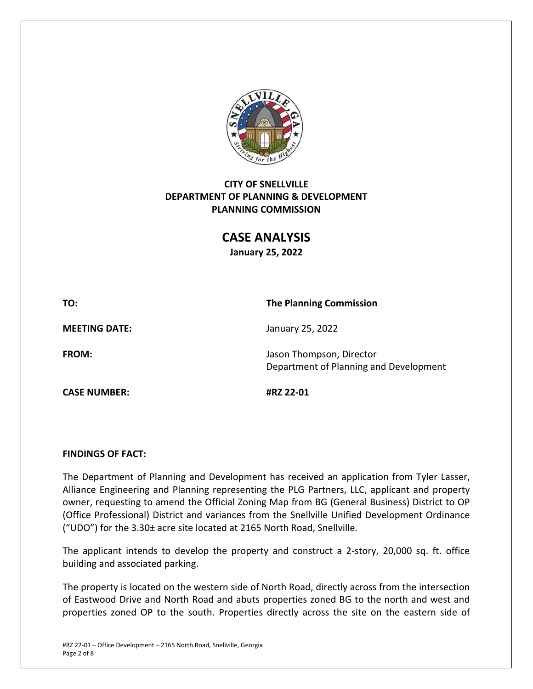

# **CITY OF SNELLVILLE DEPARTMENT OF PLANNING & DEVELOPMENT PLANNING COMMISSION**

**CASE ANALYSIS** 

**January 25, 2022** 

**TO: The Planning Commission** 

**CASE NUMBER: #RZ 22‐01** 

**MEETING DATE:**  January 25, 2022

**FROM: Identify Last Line Control Control Control Control Control Director** Department of Planning and Development

#### **FINDINGS OF FACT:**

The Department of Planning and Development has received an application from Tyler Lasser, Alliance Engineering and Planning representing the PLG Partners, LLC, applicant and property owner, requesting to amend the Official Zoning Map from BG (General Business) District to OP (Office Professional) District and variances from the Snellville Unified Development Ordinance ("UDO") for the 3.30± acre site located at 2165 North Road, Snellville.

The applicant intends to develop the property and construct a 2-story, 20,000 sq. ft. office building and associated parking.

The property is located on the western side of North Road, directly across from the intersection of Eastwood Drive and North Road and abuts properties zoned BG to the north and west and properties zoned OP to the south. Properties directly across the site on the eastern side of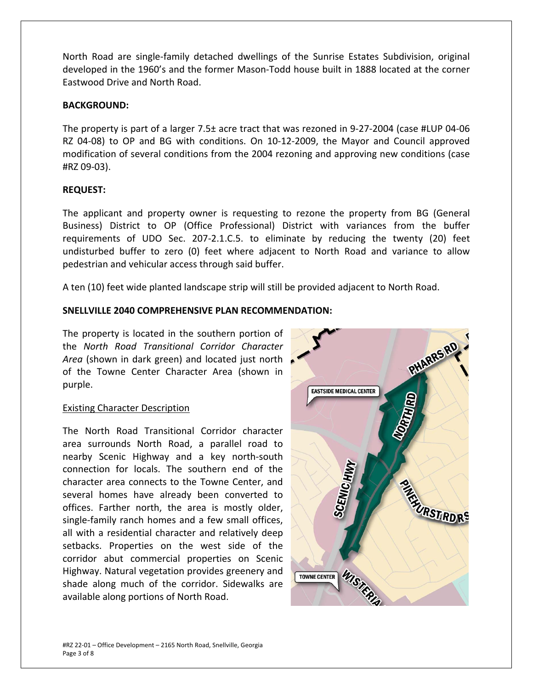North Road are single‐family detached dwellings of the Sunrise Estates Subdivision, original developed in the 1960's and the former Mason‐Todd house built in 1888 located at the corner Eastwood Drive and North Road.

# **BACKGROUND:**

The property is part of a larger 7.5± acre tract that was rezoned in 9‐27‐2004 (case #LUP 04‐06 RZ 04-08) to OP and BG with conditions. On 10-12-2009, the Mayor and Council approved modification of several conditions from the 2004 rezoning and approving new conditions (case #RZ 09‐03).

# **REQUEST:**

The applicant and property owner is requesting to rezone the property from BG (General Business) District to OP (Office Professional) District with variances from the buffer requirements of UDO Sec. 207-2.1.C.5. to eliminate by reducing the twenty (20) feet undisturbed buffer to zero (0) feet where adjacent to North Road and variance to allow pedestrian and vehicular access through said buffer.

A ten (10) feet wide planted landscape strip will still be provided adjacent to North Road.

# **SNELLVILLE 2040 COMPREHENSIVE PLAN RECOMMENDATION:**

The property is located in the southern portion of the *North Road Transitional Corridor Character Area* (shown in dark green) and located just north of the Towne Center Character Area (shown in purple.

# Existing Character Description

The North Road Transitional Corridor character area surrounds North Road, a parallel road to nearby Scenic Highway and a key north‐south connection for locals. The southern end of the character area connects to the Towne Center, and several homes have already been converted to offices. Farther north, the area is mostly older, single-family ranch homes and a few small offices, all with a residential character and relatively deep setbacks. Properties on the west side of the corridor abut commercial properties on Scenic Highway. Natural vegetation provides greenery and shade along much of the corridor. Sidewalks are available along portions of North Road.

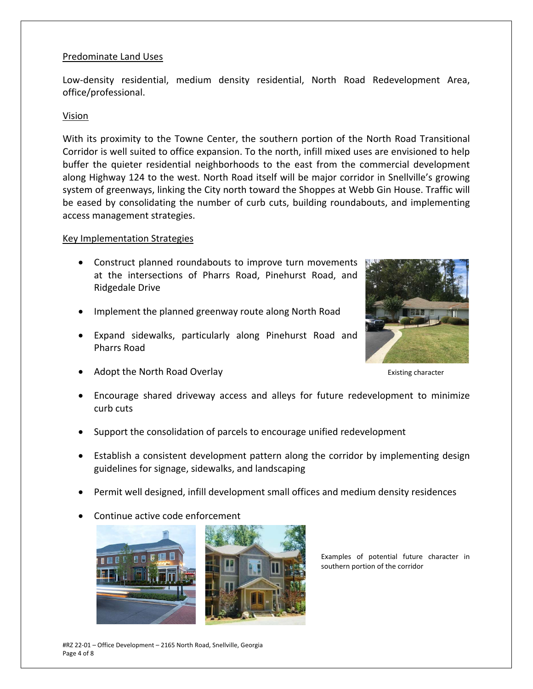#### Predominate Land Uses

Low-density residential, medium density residential, North Road Redevelopment Area, office/professional.

#### Vision

With its proximity to the Towne Center, the southern portion of the North Road Transitional Corridor is well suited to office expansion. To the north, infill mixed uses are envisioned to help buffer the quieter residential neighborhoods to the east from the commercial development along Highway 124 to the west. North Road itself will be major corridor in Snellville's growing system of greenways, linking the City north toward the Shoppes at Webb Gin House. Traffic will be eased by consolidating the number of curb cuts, building roundabouts, and implementing access management strategies.

#### Key Implementation Strategies

- Construct planned roundabouts to improve turn movements at the intersections of Pharrs Road, Pinehurst Road, and Ridgedale Drive
- Implement the planned greenway route along North Road
- Expand sidewalks, particularly along Pinehurst Road and Pharrs Road
- Adopt the North Road Overlay **South Adopt the North Road Overlay Existing character**
- 

- Encourage shared driveway access and alleys for future redevelopment to minimize curb cuts
- Support the consolidation of parcels to encourage unified redevelopment
- Establish a consistent development pattern along the corridor by implementing design guidelines for signage, sidewalks, and landscaping
- Permit well designed, infill development small offices and medium density residences
- Continue active code enforcement



Examples of potential future character in southern portion of the corridor

#RZ 22‐01 – Office Development – 2165 North Road, Snellville, Georgia Page 4 of 8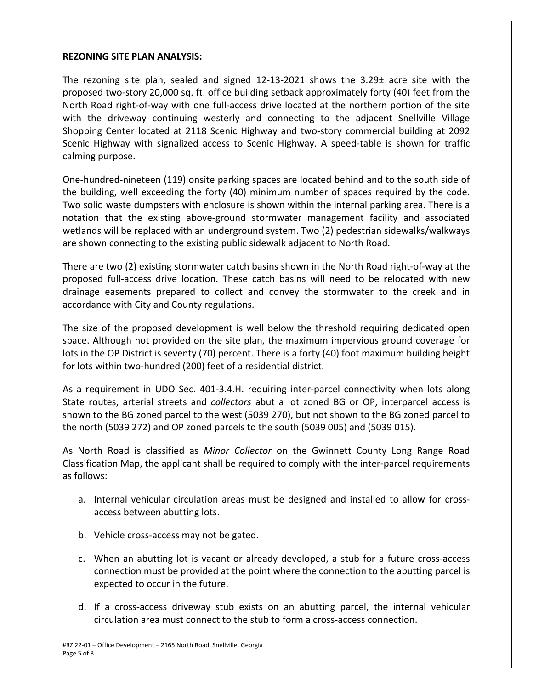#### **REZONING SITE PLAN ANALYSIS:**

The rezoning site plan, sealed and signed  $12-13-2021$  shows the  $3.29\pm$  acre site with the proposed two‐story 20,000 sq. ft. office building setback approximately forty (40) feet from the North Road right‐of‐way with one full‐access drive located at the northern portion of the site with the driveway continuing westerly and connecting to the adjacent Snellville Village Shopping Center located at 2118 Scenic Highway and two‐story commercial building at 2092 Scenic Highway with signalized access to Scenic Highway. A speed-table is shown for traffic calming purpose.

One‐hundred‐nineteen (119) onsite parking spaces are located behind and to the south side of the building, well exceeding the forty (40) minimum number of spaces required by the code. Two solid waste dumpsters with enclosure is shown within the internal parking area. There is a notation that the existing above‐ground stormwater management facility and associated wetlands will be replaced with an underground system. Two (2) pedestrian sidewalks/walkways are shown connecting to the existing public sidewalk adjacent to North Road.

There are two (2) existing stormwater catch basins shown in the North Road right‐of‐way at the proposed full‐access drive location. These catch basins will need to be relocated with new drainage easements prepared to collect and convey the stormwater to the creek and in accordance with City and County regulations.

The size of the proposed development is well below the threshold requiring dedicated open space. Although not provided on the site plan, the maximum impervious ground coverage for lots in the OP District is seventy (70) percent. There is a forty (40) foot maximum building height for lots within two‐hundred (200) feet of a residential district.

As a requirement in UDO Sec. 401‐3.4.H. requiring inter‐parcel connectivity when lots along State routes, arterial streets and *collectors*  abut a lot zoned BG or OP, interparcel access is shown to the BG zoned parcel to the west (5039 270), but not shown to the BG zoned parcel to the north (5039 272) and OP zoned parcels to the south (5039 005) and (5039 015).

As North Road is classified as *Minor Collector* on the Gwinnett County Long Range Road Classification Map, the applicant shall be required to comply with the inter‐parcel requirements as follows:

- a. Internal vehicular circulation areas must be designed and installed to allow for cross‐ access between abutting lots.
- b. Vehicle cross‐access may not be gated.
- c. When an abutting lot is vacant or already developed, a stub for a future cross-access connection must be provided at the point where the connection to the abutting parcel is expected to occur in the future.
- d. If a cross‐access driveway stub exists on an abutting parcel, the internal vehicular circulation area must connect to the stub to form a cross‐access connection.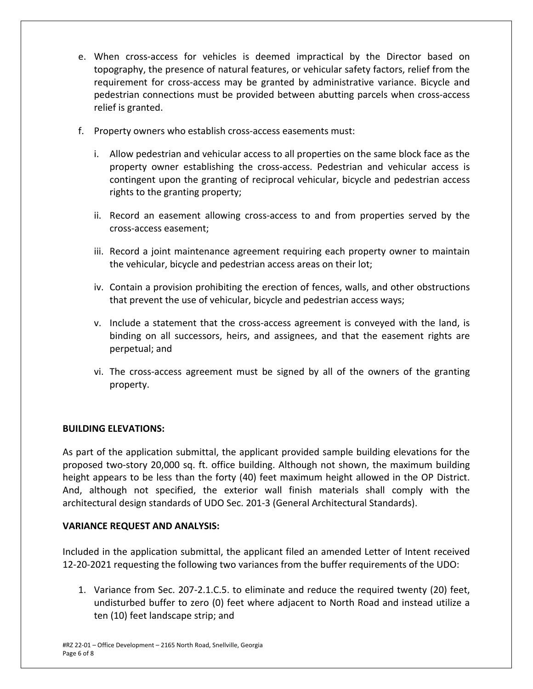- e. When cross-access for vehicles is deemed impractical by the Director based on topography, the presence of natural features, or vehicular safety factors, relief from the requirement for cross‐access may be granted by administrative variance. Bicycle and pedestrian connections must be provided between abutting parcels when cross‐access relief is granted.
- f. Property owners who establish cross-access easements must:
	- i. Allow pedestrian and vehicular access to all properties on the same block face as the property owner establishing the cross‐access. Pedestrian and vehicular access is contingent upon the granting of reciprocal vehicular, bicycle and pedestrian access rights to the granting property;
	- ii. Record an easement allowing cross-access to and from properties served by the cross‐access easement;
	- iii. Record a joint maintenance agreement requiring each property owner to maintain the vehicular, bicycle and pedestrian access areas on their lot;
	- iv. Contain a provision prohibiting the erection of fences, walls, and other obstructions that prevent the use of vehicular, bicycle and pedestrian access ways;
	- v. Include a statement that the cross‐access agreement is conveyed with the land, is binding on all successors, heirs, and assignees, and that the easement rights are perpetual; and
	- vi. The cross‐access agreement must be signed by all of the owners of the granting property.

# **BUILDING ELEVATIONS:**

As part of the application submittal, the applicant provided sample building elevations for the proposed two‐story 20,000 sq. ft. office building. Although not shown, the maximum building height appears to be less than the forty (40) feet maximum height allowed in the OP District. And, although not specified, the exterior wall finish materials shall comply with the architectural design standards of UDO Sec. 201‐3 (General Architectural Standards).

# **VARIANCE REQUEST AND ANALYSIS:**

Included in the application submittal, the applicant filed an amended Letter of Intent received 12‐20‐2021 requesting the following two variances from the buffer requirements of the UDO:

1. Variance from Sec. 207‐2.1.C.5. to eliminate and reduce the required twenty (20) feet, undisturbed buffer to zero (0) feet where adjacent to North Road and instead utilize a ten (10) feet landscape strip; and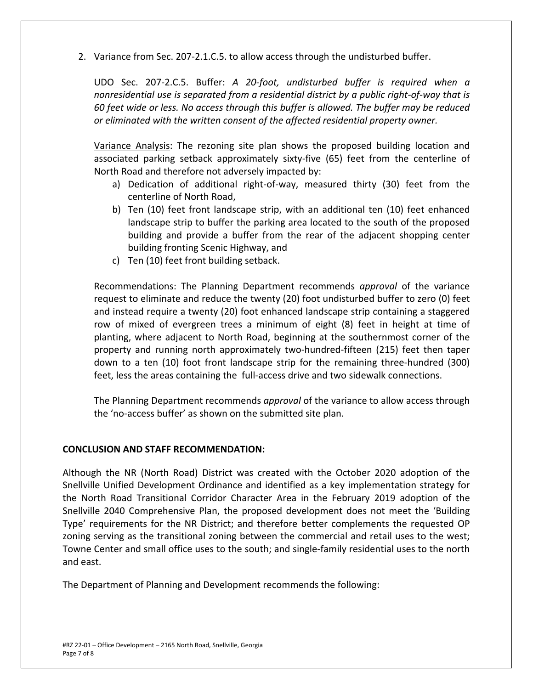2. Variance from Sec. 207‐2.1.C.5. to allow access through the undisturbed buffer.

UDO Sec. 207‐2.C.5. Buffer: *A 20‐foot, undisturbed buffer is required when a nonresidential use is separated from a residential district by a public right‐of‐way that is 60 feet wide or less. No access through this buffer is allowed. The buffer may be reduced or eliminated with the written consent of the affected residential property owner.* 

Variance Analysis: The rezoning site plan shows the proposed building location and associated parking setback approximately sixty-five (65) feet from the centerline of North Road and therefore not adversely impacted by:

- a) Dedication of additional right-of-way, measured thirty (30) feet from the centerline of North Road,
- b) Ten (10) feet front landscape strip, with an additional ten (10) feet enhanced landscape strip to buffer the parking area located to the south of the proposed building and provide a buffer from the rear of the adjacent shopping center building fronting Scenic Highway, and
- c) Ten (10) feet front building setback.

Recommendations: The Planning Department recommends *approval*  of the variance request to eliminate and reduce the twenty (20) foot undisturbed buffer to zero (0) feet and instead require a twenty (20) foot enhanced landscape strip containing a staggered row of mixed of evergreen trees a minimum of eight (8) feet in height at time of planting, where adjacent to North Road, beginning at the southernmost corner of the property and running north approximately two-hundred-fifteen (215) feet then taper down to a ten (10) foot front landscape strip for the remaining three-hundred (300) feet, less the areas containing the full-access drive and two sidewalk connections.

The Planning Department recommends *approval* of the variance to allow access through the 'no‐access buffer' as shown on the submitted site plan.

# **CONCLUSION AND STAFF RECOMMENDATION:**

Although the NR (North Road) District was created with the October 2020 adoption of the Snellville Unified Development Ordinance and identified as a key implementation strategy for the North Road Transitional Corridor Character Area in the February 2019 adoption of the Snellville 2040 Comprehensive Plan, the proposed development does not meet the 'Building Type' requirements for the NR District; and therefore better complements the requested OP zoning serving as the transitional zoning between the commercial and retail uses to the west; Towne Center and small office uses to the south; and single‐family residential uses to the north and east.

The Department of Planning and Development recommends the following: